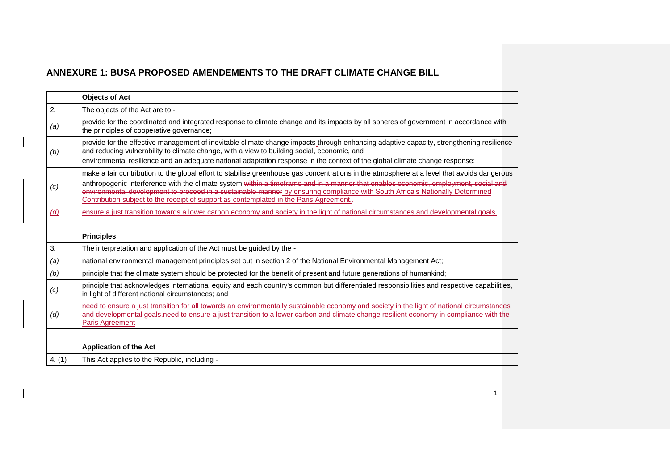| <b>Objects of Act</b>                                                                                                                                                                                                                                                                                                                                           |
|-----------------------------------------------------------------------------------------------------------------------------------------------------------------------------------------------------------------------------------------------------------------------------------------------------------------------------------------------------------------|
| The objects of the Act are to -                                                                                                                                                                                                                                                                                                                                 |
| provide for the coordinated and integrated response to climate change and its impacts by all spheres of government in accordance with<br>the principles of cooperative governance;                                                                                                                                                                              |
| provide for the effective management of inevitable climate change impacts through enhancing adaptive capacity, strengthening resilience<br>and reducing vulnerability to climate change, with a view to building social, economic, and                                                                                                                          |
| environmental resilience and an adequate national adaptation response in the context of the global climate change response;                                                                                                                                                                                                                                     |
| make a fair contribution to the global effort to stabilise greenhouse gas concentrations in the atmosphere at a level that avoids dangerous                                                                                                                                                                                                                     |
| anthropogenic interference with the climate system within a timeframe and in a manner that enables economic, employment, social and<br>environmental development to proceed in a sustainable manner by ensuring compliance with South Africa's Nationally Determined<br>Contribution subject to the receipt of support as contemplated in the Paris Agreement.- |
| ensure a just transition towards a lower carbon economy and society in the light of national circumstances and developmental goals.                                                                                                                                                                                                                             |
|                                                                                                                                                                                                                                                                                                                                                                 |
| <b>Principles</b>                                                                                                                                                                                                                                                                                                                                               |
| The interpretation and application of the Act must be guided by the -                                                                                                                                                                                                                                                                                           |
| national environmental management principles set out in section 2 of the National Environmental Management Act;                                                                                                                                                                                                                                                 |
| principle that the climate system should be protected for the benefit of present and future generations of humankind;                                                                                                                                                                                                                                           |
| principle that acknowledges international equity and each country's common but differentiated responsibilities and respective capabilities,<br>in light of different national circumstances; and                                                                                                                                                                |
| need to ensure a just transition for all towards an environmentally sustainable economy and society in the light of national circumstances<br>and developmental goals-need to ensure a just transition to a lower carbon and climate change resilient economy in compliance with the<br>Paris Agreement                                                         |
|                                                                                                                                                                                                                                                                                                                                                                 |
| <b>Application of the Act</b>                                                                                                                                                                                                                                                                                                                                   |
|                                                                                                                                                                                                                                                                                                                                                                 |
|                                                                                                                                                                                                                                                                                                                                                                 |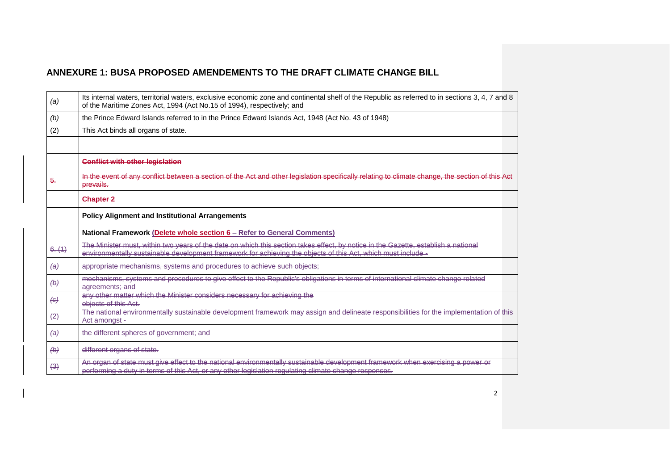| (a)                     | Its internal waters, territorial waters, exclusive economic zone and continental shelf of the Republic as referred to in sections 3, 4, 7 and 8<br>of the Maritime Zones Act, 1994 (Act No.15 of 1994), respectively; and                          |
|-------------------------|----------------------------------------------------------------------------------------------------------------------------------------------------------------------------------------------------------------------------------------------------|
| (b)                     | the Prince Edward Islands referred to in the Prince Edward Islands Act, 1948 (Act No. 43 of 1948)                                                                                                                                                  |
| (2)                     | This Act binds all organs of state.                                                                                                                                                                                                                |
|                         |                                                                                                                                                                                                                                                    |
|                         | <b>Conflict with other legislation</b>                                                                                                                                                                                                             |
| <del>5.</del>           | In the event of any conflict between a section of the Act and other legislation specifically relating to climate change, the section of this Act<br>prevails.                                                                                      |
|                         | <b>Chapter 2</b>                                                                                                                                                                                                                                   |
|                         | <b>Policy Alignment and Institutional Arrangements</b>                                                                                                                                                                                             |
|                         | <b>National Framework (Delete whole section 6 - Refer to General Comments)</b>                                                                                                                                                                     |
| 6. (1)                  | The Minister must, within two years of the date on which this section takes effect, by notice in the Gazette, establish a national<br>environmentally sustainable development framework for achieving the objects of this Act, which must include- |
| $\leftrightarrow$       | appropriate mechanisms, systems and procedures to achieve such objects;                                                                                                                                                                            |
| $\leftrightarrow$       | mechanisms, systems and procedures to give effect to the Republic's obligations in terms of international climate change related<br>agreements: and                                                                                                |
| $\left( \theta \right)$ | any other matter which the Minister considers necessary for achieving the<br>objects of this Act.                                                                                                                                                  |
| $\left(2\right)$        | The national environmentally sustainable development framework may assign and delineate responsibilities for the implementation of this<br>Act amongst-                                                                                            |
| $\leftrightarrow$       | the different spheres of government; and                                                                                                                                                                                                           |
| $\leftrightarrow$       | different organs of state.                                                                                                                                                                                                                         |
| (3)                     | An organ of state must give effect to the national environmentally sustainable development framework when exercising a power or<br>performing a duty in terms of this Act, or any other legislation regulating climate change responses.           |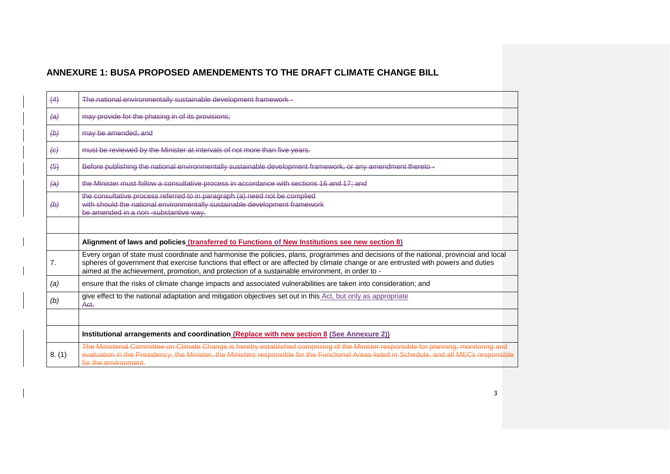| (4)               | The national environmentally sustainable development framework -                                                                                                                                                                                                                                                                                                                 |
|-------------------|----------------------------------------------------------------------------------------------------------------------------------------------------------------------------------------------------------------------------------------------------------------------------------------------------------------------------------------------------------------------------------|
| $\left( a\right)$ | may provide for the phasing in of its provisions;                                                                                                                                                                                                                                                                                                                                |
| $\leftrightarrow$ | may be amended; and                                                                                                                                                                                                                                                                                                                                                              |
| $\leftrightarrow$ | must be reviewed by the Minister at intervals of not more than five years.                                                                                                                                                                                                                                                                                                       |
| $\left(5\right)$  | Before publishing the national environmentally sustainable development framework, or any amendment thereto-                                                                                                                                                                                                                                                                      |
| $\leftrightarrow$ | the Minister must follow a consultative process in accordance with sections 16 and 17; and                                                                                                                                                                                                                                                                                       |
| $\leftrightarrow$ | the consultative process referred to in paragraph (a) need not be complied<br>with should the national environmentally sustainable development framework<br>be amended in a non-substantive way.                                                                                                                                                                                 |
|                   |                                                                                                                                                                                                                                                                                                                                                                                  |
|                   | Alignment of laws and policies (transferred to Functions of New Institutions see new section 8)                                                                                                                                                                                                                                                                                  |
| 7.                | Every organ of state must coordinate and harmonise the policies, plans, programmes and decisions of the national, provincial and local<br>spheres of government that exercise functions that effect or are affected by climate change or are entrusted with powers and duties<br>aimed at the achievement, promotion, and protection of a sustainable environment, in order to - |
| (a)               | ensure that the risks of climate change impacts and associated vulnerabilities are taken into consideration; and                                                                                                                                                                                                                                                                 |
| (b)               | give effect to the national adaptation and mitigation objectives set out in this Act, but only as appropriate<br>Act.                                                                                                                                                                                                                                                            |
|                   |                                                                                                                                                                                                                                                                                                                                                                                  |
|                   | Institutional arrangements and coordination (Replace with new section 8 (See Annexure 2))                                                                                                                                                                                                                                                                                        |
| 8. (1)            | The Ministerial Committee on Climate Change is hereby established comprising of the Minister responsible for planning, monitoring and<br>evaluation in the Presidency, the Minister, the Ministers responsible for the Functional Areas listed in Schedule, and all MECs responsible<br>for the environment.                                                                     |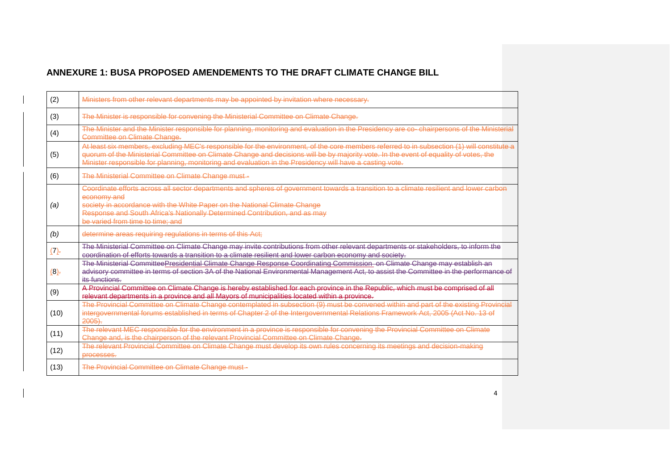| (2)     | Ministers from other relevant departments may be appointed by invitation where necessary.                                                                                                                                                                                                                                                                                                      |
|---------|------------------------------------------------------------------------------------------------------------------------------------------------------------------------------------------------------------------------------------------------------------------------------------------------------------------------------------------------------------------------------------------------|
| (3)     | The Minister is responsible for convening the Ministerial Committee on Climate Change.                                                                                                                                                                                                                                                                                                         |
| (4)     | The Minister and the Minister responsible for planning, monitoring and evaluation in the Presidency are co-chairpersons of the Ministerial<br>Committee on Climate Change.                                                                                                                                                                                                                     |
| (5)     | At least six members, excluding MEC's responsible for the environment, of the core members referred to in subsection (1) will constitute a<br>quorum of the Ministerial Committee on Climate Change and decisions will be by majority vote. In the event of equality of votes, the<br>Minister responsible for planning, monitoring and evaluation in the Presidency will have a casting vote. |
| (6)     | The Ministerial Committee on Climate Change must -                                                                                                                                                                                                                                                                                                                                             |
| (a)     | Coordinate efforts across all sector departments and spheres of government towards a transition to a climate resilient and lower carbon<br>economy and<br>society in accordance with the White Paper on the National Climate Change<br>Response and South Africa's Nationally Determined Contribution, and as may<br>be varied from time to time; and                                          |
| (b)     | determine areas requiring regulations in terms of this Act;                                                                                                                                                                                                                                                                                                                                    |
| (7)     | The Ministerial Committee on Climate Change may invite contributions from other relevant departments or stakeholders, to inform the<br>coordination of efforts towards a transition to a climate resilient and lower carbon economy and society.                                                                                                                                               |
| $(8)$ . | The Ministerial CommitteePresidential Climate Change Response Coordinating Commission on Climate Change may establish an<br>advisory committee in terms of section 3A of the National Environmental Management Act, to assist the Committee in the performance of<br>its functions.                                                                                                            |
| (9)     | A Provincial Committee on Climate Change is hereby established for each province in the Republic, which must be comprised of all<br>relevant departments in a province and all Mayors of municipalities located within a province.                                                                                                                                                             |
| (10)    | The Provincial Committee on Climate Change contemplated in subsection (9) must be convened within and part of the existing Provincial<br>intergovernmental forums established in terms of Chapter 2 of the Intergovernmental Relations Framework Act, 2005 (Act No. 13 of<br>$2005$ .                                                                                                          |
| (11)    | The relevant MEC responsible for the environment in a province is responsible for convening the Provincial Committee on Climate<br>Change and, is the chairperson of the relevant Provincial Committee on Climate Change.                                                                                                                                                                      |
| (12)    | The relevant Provincial Committee on Climate Change must develop its own rules concerning its meetings and decision-making<br>processes.                                                                                                                                                                                                                                                       |
| (13)    | The Provincial Committee on Climate Change must-                                                                                                                                                                                                                                                                                                                                               |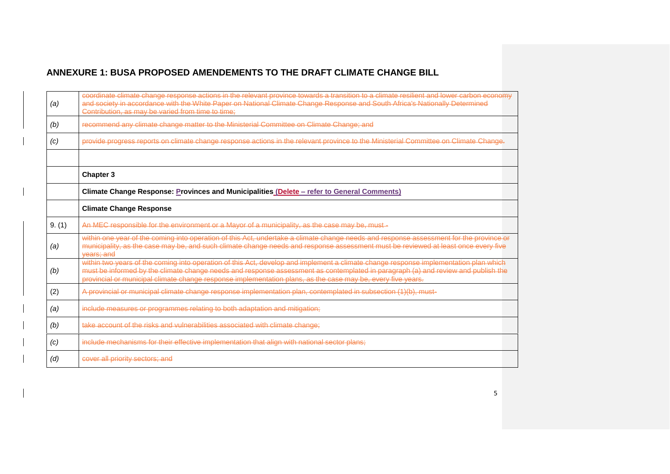| (a)    | coordinate climate change response actions in the relevant province towards a transition to a climate resilient and lower carbon economy<br>and society in accordance with the White Paper on National Climate Change Response and South Africa's Nationally Determined<br>Contribution, as may be varied from time to time;                                                            |
|--------|-----------------------------------------------------------------------------------------------------------------------------------------------------------------------------------------------------------------------------------------------------------------------------------------------------------------------------------------------------------------------------------------|
| (b)    | recommend any climate change matter to the Ministerial Committee on Climate Change; and                                                                                                                                                                                                                                                                                                 |
| (c)    | provide progress reports on climate change response actions in the relevant province to the Ministerial Committee on Climate Change.                                                                                                                                                                                                                                                    |
|        |                                                                                                                                                                                                                                                                                                                                                                                         |
|        | <b>Chapter 3</b>                                                                                                                                                                                                                                                                                                                                                                        |
|        | Climate Change Response: Provinces and Municipalities (Delete - refer to General Comments)                                                                                                                                                                                                                                                                                              |
|        | <b>Climate Change Response</b>                                                                                                                                                                                                                                                                                                                                                          |
| 9. (1) | An MEC responsible for the environment or a Mayor of a municipality, as the case may be, must -                                                                                                                                                                                                                                                                                         |
| (a)    | within one year of the coming into operation of this Act, undertake a climate change needs and response assessment for the province or<br>municipality, as the case may be, and such climate change needs and response assessment must be reviewed at least once every five<br>vears: and                                                                                               |
| (b)    | within two years of the coming into operation of this Act, develop and implement a climate change response implementation plan which<br>must be informed by the climate change needs and response assessment as contemplated in paragraph (a) and review and publish the<br>provincial or municipal climate change response implementation plans, as the case may be, every five years. |
| (2)    | A provincial or municipal climate change response implementation plan, contemplated in subsection (1)(b), must-                                                                                                                                                                                                                                                                         |
| (a)    | include measures or programmes relating to both adaptation and mitigation;                                                                                                                                                                                                                                                                                                              |
| (b)    | take account of the risks and vulnerabilities associated with climate change;                                                                                                                                                                                                                                                                                                           |
| (c)    | include mechanisms for their effective implementation that align with national sector plans;                                                                                                                                                                                                                                                                                            |
| (d)    | cover all priority sectors; and                                                                                                                                                                                                                                                                                                                                                         |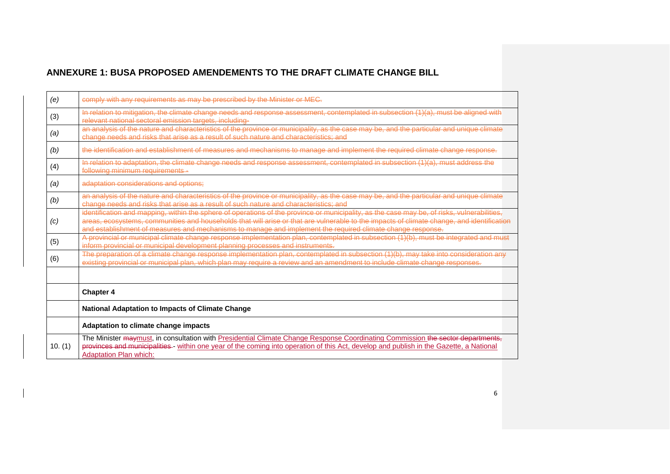| (e)     | comply with any requirements as may be prescribed by the Minister or MEC.                                                                                                                                                                                                                                                                                                                              |
|---------|--------------------------------------------------------------------------------------------------------------------------------------------------------------------------------------------------------------------------------------------------------------------------------------------------------------------------------------------------------------------------------------------------------|
| (3)     | In relation to mitigation, the climate change needs and response assessment, contemplated in subsection (1)(a), must be aligned with<br>relevant national sectoral emission targets, including-                                                                                                                                                                                                        |
| (a)     | an analysis of the nature and characteristics of the province or municipality, as the case may be, and the particular and unique climate<br>change needs and risks that arise as a result of such nature and characteristics: and                                                                                                                                                                      |
| (b)     | the identification and establishment of measures and mechanisms to manage and implement the required climate change response.                                                                                                                                                                                                                                                                          |
| (4)     | In relation to adaptation, the climate change needs and response assessment, contemplated in subsection (1)(a), must address the<br>following minimum requirements -                                                                                                                                                                                                                                   |
| (a)     | adaptation considerations and options:                                                                                                                                                                                                                                                                                                                                                                 |
| (b)     | an analysis of the nature and characteristics of the province or municipality, as the case may be, and the particular and unique climate<br>change needs and risks that arise as a result of such nature and characteristics; and                                                                                                                                                                      |
| (c)     | identification and mapping, within the sphere of operations of the province or municipality, as the case may be, of risks, vulnerabilities,<br>areas, ecosystems, communities and households that will arise or that are vulnerable to the impacts of climate change, and identification<br>and establishment of measures and mechanisms to manage and implement the required climate change response. |
| (5)     | A provincial or municipal climate change response implementation plan, contemplated in subsection (1)(b), must be integrated and must<br>inform provincial or municipal development planning processes and instruments.                                                                                                                                                                                |
| (6)     | The preparation of a climate change response implementation plan, contemplated in subsection (1)(b), may take into consideration any<br>existing provincial or municipal plan, which plan may require a review and an amendment to include climate change responses.                                                                                                                                   |
|         |                                                                                                                                                                                                                                                                                                                                                                                                        |
|         | <b>Chapter 4</b>                                                                                                                                                                                                                                                                                                                                                                                       |
|         | National Adaptation to Impacts of Climate Change                                                                                                                                                                                                                                                                                                                                                       |
|         | Adaptation to climate change impacts                                                                                                                                                                                                                                                                                                                                                                   |
| 10. (1) | The Minister maymust, in consultation with Presidential Climate Change Response Coordinating Commission the sector departments,<br>provinces and municipalities - within one year of the coming into operation of this Act, develop and publish in the Gazette, a National<br><b>Adaptation Plan which:</b>                                                                                            |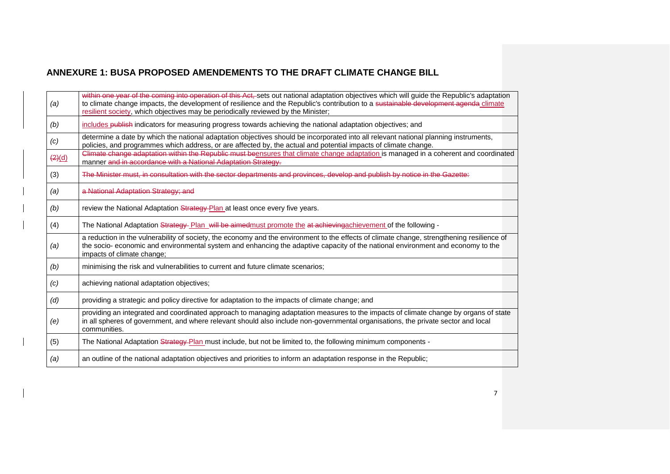| (a)           | within one year of the coming into operation of this Act, sets out national adaptation objectives which will guide the Republic's adaptation<br>to climate change impacts, the development of resilience and the Republic's contribution to a sustainable development agenda climate<br>resilient society, which objectives may be periodically reviewed by the Minister; |
|---------------|---------------------------------------------------------------------------------------------------------------------------------------------------------------------------------------------------------------------------------------------------------------------------------------------------------------------------------------------------------------------------|
| (b)           | includes publish indicators for measuring progress towards achieving the national adaptation objectives; and                                                                                                                                                                                                                                                              |
| (c)           | determine a date by which the national adaptation objectives should be incorporated into all relevant national planning instruments,<br>policies, and programmes which address, or are affected by, the actual and potential impacts of climate change.                                                                                                                   |
| $\frac{2}{d}$ | Climate change adaptation within the Republic must beensures that climate change adaptation is managed in a coherent and coordinated<br>manner and in accordance with a National Adaptation Strategy.                                                                                                                                                                     |
| (3)           | The Minister must, in consultation with the sector departments and provinces, develop and publish by notice in the Gazette:                                                                                                                                                                                                                                               |
| (a)           | a National Adaptation Strategy; and                                                                                                                                                                                                                                                                                                                                       |
| (b)           | review the National Adaptation Strategy-Plan at least once every five years.                                                                                                                                                                                                                                                                                              |
| (4)           | The National Adaptation Strategy Plan will be aimed must promote the at achieving achievement of the following -                                                                                                                                                                                                                                                          |
| (a)           | a reduction in the vulnerability of society, the economy and the environment to the effects of climate change, strengthening resilience of<br>the socio- economic and environmental system and enhancing the adaptive capacity of the national environment and economy to the<br>impacts of climate change;                                                               |
| (b)           | minimising the risk and vulnerabilities to current and future climate scenarios;                                                                                                                                                                                                                                                                                          |
| (c)           | achieving national adaptation objectives;                                                                                                                                                                                                                                                                                                                                 |
| (d)           | providing a strategic and policy directive for adaptation to the impacts of climate change; and                                                                                                                                                                                                                                                                           |
| (e)           | providing an integrated and coordinated approach to managing adaptation measures to the impacts of climate change by organs of state<br>in all spheres of government, and where relevant should also include non-governmental organisations, the private sector and local<br>communities.                                                                                 |
| (5)           | The National Adaptation Strategy-Plan must include, but not be limited to, the following minimum components -                                                                                                                                                                                                                                                             |
| (a)           | an outline of the national adaptation objectives and priorities to inform an adaptation response in the Republic;                                                                                                                                                                                                                                                         |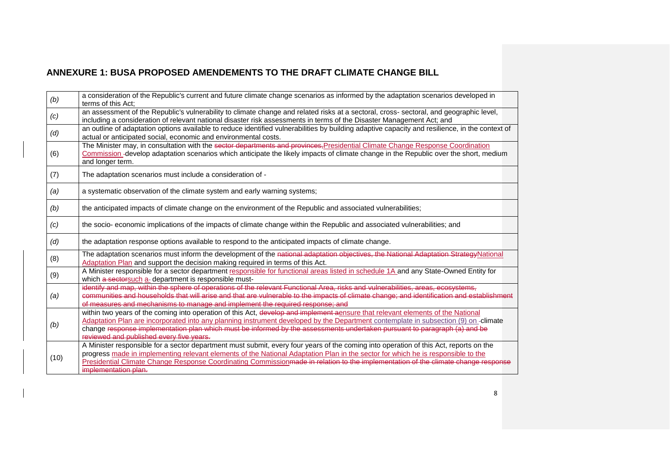| (b) | a consideration of the Republic's current and future climate change scenarios as informed by the adaptation scenarios developed in<br>terms of this Act:                                                                                                                                                                                                                                                                                        |
|-----|-------------------------------------------------------------------------------------------------------------------------------------------------------------------------------------------------------------------------------------------------------------------------------------------------------------------------------------------------------------------------------------------------------------------------------------------------|
| (c) | an assessment of the Republic's vulnerability to climate change and related risks at a sectoral, cross- sectoral, and geographic level,<br>including a consideration of relevant national disaster risk assessments in terms of the Disaster Management Act; and                                                                                                                                                                                |
| (d) | an outline of adaptation options available to reduce identified vulnerabilities by building adaptive capacity and resilience, in the context of<br>actual or anticipated social, economic and environmental costs.                                                                                                                                                                                                                              |
| (6) | The Minister may, in consultation with the sector departments and provinces, Presidential Climate Change Response Coordination<br>Commission -develop adaptation scenarios which anticipate the likely impacts of climate change in the Republic over the short, medium<br>and longer term.                                                                                                                                                     |
| (7) | The adaptation scenarios must include a consideration of -                                                                                                                                                                                                                                                                                                                                                                                      |
| (a) | a systematic observation of the climate system and early warning systems;                                                                                                                                                                                                                                                                                                                                                                       |
| (b) | the anticipated impacts of climate change on the environment of the Republic and associated vulnerabilities;                                                                                                                                                                                                                                                                                                                                    |
| (c) | the socio- economic implications of the impacts of climate change within the Republic and associated vulnerabilities; and                                                                                                                                                                                                                                                                                                                       |
| (d) | the adaptation response options available to respond to the anticipated impacts of climate change.                                                                                                                                                                                                                                                                                                                                              |
| (8) | The adaptation scenarios must inform the development of the national adaptation objectives, the National Adaptation Strategy National<br>Adaptation Plan and support the decision making required in terms of this Act.                                                                                                                                                                                                                         |
| (9) | A Minister responsible for a sector department responsible for functional areas listed in schedule 1A and any State-Owned Entity for<br>which a sectorsuch a-department is responsible must-                                                                                                                                                                                                                                                    |
| (a) | identify and map, within the sphere of operations of the relevant Functional Area, risks and vulnerabilities, areas, ecosystems,<br>communities and households that will arise and that are vulnerable to the impacts of climate change; and identification and establishment<br>of measures and mechanisms to manage and implement the required response; and                                                                                  |
| (b) | within two years of the coming into operation of this Act, develop and implement aensure that relevant elements of the National<br>Adaptation Plan are incorporated into any planning instrument developed by the Department contemplate in subsection (9) on -climate<br>change response implementation plan which must be informed by the assessments undertaken pursuant to paragraph (a) and be<br>reviewed and published every five years. |
|     |                                                                                                                                                                                                                                                                                                                                                                                                                                                 |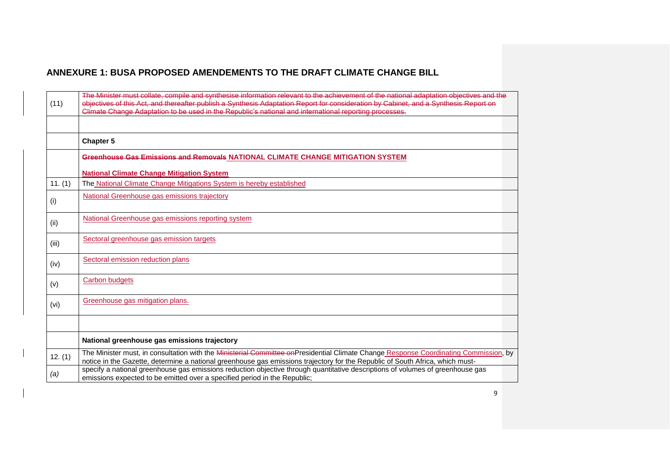| (11)    | The Minister must collate, compile and synthesise information relevant to the achievement of the national adaptation objectives and the<br>objectives of this Act, and thereafter publish a Synthesis Adaptation Report for consideration by Cabinet, and a Synthesis Report on<br>Climate Change Adaptation to be used in the Republic's national and international reporting processes. |  |
|---------|-------------------------------------------------------------------------------------------------------------------------------------------------------------------------------------------------------------------------------------------------------------------------------------------------------------------------------------------------------------------------------------------|--|
|         | <b>Chapter 5</b>                                                                                                                                                                                                                                                                                                                                                                          |  |
|         | Greenhouse Gas Emissions and Removals NATIONAL CLIMATE CHANGE MITIGATION SYSTEM                                                                                                                                                                                                                                                                                                           |  |
|         | <b>National Climate Change Mitigation System</b>                                                                                                                                                                                                                                                                                                                                          |  |
| 11. (1) | The National Climate Change Mitigations System is hereby established                                                                                                                                                                                                                                                                                                                      |  |
| (i)     | National Greenhouse gas emissions trajectory                                                                                                                                                                                                                                                                                                                                              |  |
| (ii)    | National Greenhouse gas emissions reporting system                                                                                                                                                                                                                                                                                                                                        |  |
| (iii)   | Sectoral greenhouse gas emission targets                                                                                                                                                                                                                                                                                                                                                  |  |
| (iv)    | Sectoral emission reduction plans                                                                                                                                                                                                                                                                                                                                                         |  |
| (v)     | Carbon budgets                                                                                                                                                                                                                                                                                                                                                                            |  |
| (vi)    | Greenhouse gas mitigation plans.                                                                                                                                                                                                                                                                                                                                                          |  |
|         |                                                                                                                                                                                                                                                                                                                                                                                           |  |
|         | National greenhouse gas emissions trajectory                                                                                                                                                                                                                                                                                                                                              |  |
| 12. (1) | The Minister must, in consultation with the Ministerial Committee onPresidential Climate Change Response Coordinating Commission, by<br>notice in the Gazette, determine a national greenhouse gas emissions trajectory for the Republic of South Africa, which must-                                                                                                                     |  |
| (a)     | specify a national greenhouse gas emissions reduction objective through quantitative descriptions of volumes of greenhouse gas<br>emissions expected to be emitted over a specified period in the Republic;                                                                                                                                                                               |  |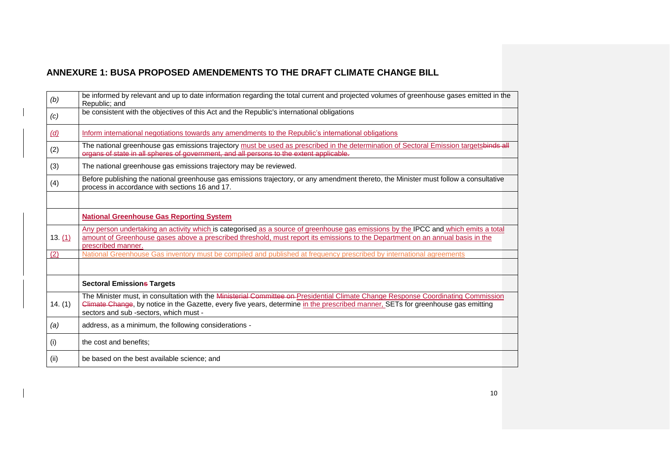| (b)        | be informed by relevant and up to date information regarding the total current and projected volumes of greenhouse gases emitted in the<br>Republic; and                                                                                                                                                       |
|------------|----------------------------------------------------------------------------------------------------------------------------------------------------------------------------------------------------------------------------------------------------------------------------------------------------------------|
| (c)        | be consistent with the objectives of this Act and the Republic's international obligations                                                                                                                                                                                                                     |
| <u>(d)</u> | Inform international negotiations towards any amendments to the Republic's international obligations                                                                                                                                                                                                           |
| (2)        | The national greenhouse gas emissions trajectory must be used as prescribed in the determination of Sectoral Emission targetsbinds all<br>organs of state in all spheres of government, and all persons to the extent applicable.                                                                              |
| (3)        | The national greenhouse gas emissions trajectory may be reviewed.                                                                                                                                                                                                                                              |
| (4)        | Before publishing the national greenhouse gas emissions trajectory, or any amendment thereto, the Minister must follow a consultative<br>process in accordance with sections 16 and 17.                                                                                                                        |
|            |                                                                                                                                                                                                                                                                                                                |
|            | <b>National Greenhouse Gas Reporting System</b>                                                                                                                                                                                                                                                                |
| 13(1)      | Any person undertaking an activity which is categorised as a source of greenhouse gas emissions by the IPCC and which emits a total<br>amount of Greenhouse gases above a prescribed threshold, must report its emissions to the Department on an annual basis in the<br>prescribed manner.                    |
| (2)        | National Greenhouse Gas inventory must be compiled and published at frequency prescribed by international agreements                                                                                                                                                                                           |
|            |                                                                                                                                                                                                                                                                                                                |
|            | <b>Sectoral Emissions Targets</b>                                                                                                                                                                                                                                                                              |
| 14. (1)    | The Minister must, in consultation with the Ministerial Committee on-Presidential Climate Change Response Coordinating Commission<br>Climate Change, by notice in the Gazette, every five years, determine in the prescribed manner, SETs for greenhouse gas emitting<br>sectors and sub-sectors, which must - |
| (a)        | address, as a minimum, the following considerations -                                                                                                                                                                                                                                                          |
| (i)        | the cost and benefits;                                                                                                                                                                                                                                                                                         |
| (ii)       | be based on the best available science; and                                                                                                                                                                                                                                                                    |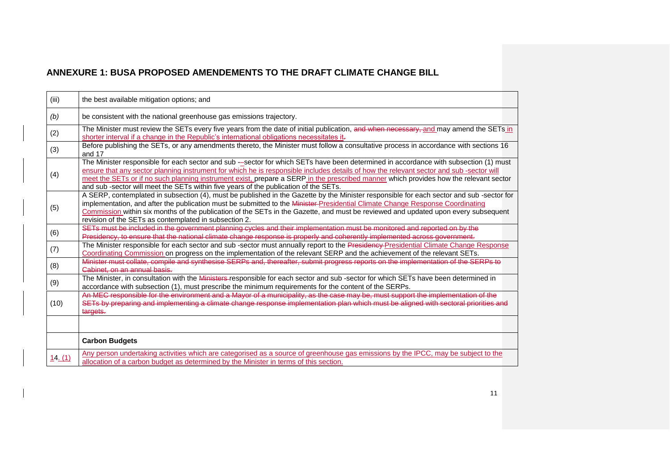| (iii)   | the best available mitigation options; and                                                                                                                                                                                                                                                                                                                                                                                                                                                                      |
|---------|-----------------------------------------------------------------------------------------------------------------------------------------------------------------------------------------------------------------------------------------------------------------------------------------------------------------------------------------------------------------------------------------------------------------------------------------------------------------------------------------------------------------|
| (b)     | be consistent with the national greenhouse gas emissions trajectory.                                                                                                                                                                                                                                                                                                                                                                                                                                            |
| (2)     | The Minister must review the SETs every five years from the date of initial publication, and when necessary, and may amend the SETs in<br>shorter interval if a change in the Republic's international obligations necessitates it-                                                                                                                                                                                                                                                                             |
| (3)     | Before publishing the SETs, or any amendments thereto, the Minister must follow a consultative process in accordance with sections 16<br>and 17                                                                                                                                                                                                                                                                                                                                                                 |
| (4)     | The Minister responsible for each sector and sub --sector for which SETs have been determined in accordance with subsection (1) must<br>ensure that any sector planning instrument for which he is responsible includes details of how the relevant sector and sub -sector will<br>meet the SETs or if no such planning instrument exist, prepare a SERP in the prescribed manner which provides how the relevant sector<br>and sub-sector will meet the SETs within five years of the publication of the SETs. |
| (5)     | A SERP, contemplated in subsection (4), must be published in the Gazette by the Minister responsible for each sector and sub -sector for<br>implementation, and after the publication must be submitted to the Minister-Presidential Climate Change Response Coordinating<br>Commission within six months of the publication of the SETs in the Gazette, and must be reviewed and updated upon every subsequent<br>revision of the SETs as contemplated in subsection 2.                                        |
| (6)     | SETs must be included in the government planning cycles and their implementation must be monitored and reported on by the<br>Presidency, to ensure that the national climate change response is properly and coherently implemented across government.                                                                                                                                                                                                                                                          |
| (7)     | The Minister responsible for each sector and sub-sector must annually report to the Presidency-Presidential Climate Change Response<br>Coordinating Commission on progress on the implementation of the relevant SERP and the achievement of the relevant SETs.                                                                                                                                                                                                                                                 |
| (8)     | Minister must collate, compile and synthesise SERPs and, thereafter, submit progress reports on the implementation of the SERPs to<br>Cabinet, on an annual basis.                                                                                                                                                                                                                                                                                                                                              |
| (9)     | The Minister, in consultation with the Ministers-responsible for each sector and sub -sector for which SETs have been determined in<br>accordance with subsection (1), must prescribe the minimum requirements for the content of the SERPs.                                                                                                                                                                                                                                                                    |
| (10)    | An MEC responsible for the environment and a Mayor of a municipality, as the case may be, must support the implementation of the<br>SETs by preparing and implementing a climate change response implementation plan which must be aligned with sectoral priorities and<br>targets.                                                                                                                                                                                                                             |
|         |                                                                                                                                                                                                                                                                                                                                                                                                                                                                                                                 |
|         | <b>Carbon Budgets</b>                                                                                                                                                                                                                                                                                                                                                                                                                                                                                           |
| 14. (1) | Any person undertaking activities which are categorised as a source of greenhouse gas emissions by the IPCC, may be subject to the<br>allocation of a carbon budget as determined by the Minister in terms of this section.                                                                                                                                                                                                                                                                                     |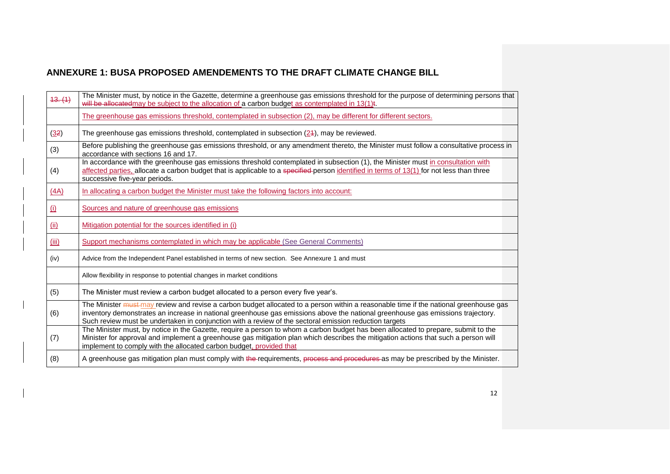| 43. (1) | The Minister must, by notice in the Gazette, determine a greenhouse gas emissions threshold for the purpose of determining persons that<br>will be allocated may be subject to the allocation of a carbon budget as contemplated in 13(1).                                                                                                                                                |
|---------|-------------------------------------------------------------------------------------------------------------------------------------------------------------------------------------------------------------------------------------------------------------------------------------------------------------------------------------------------------------------------------------------|
|         | The greenhouse gas emissions threshold, contemplated in subsection (2), may be different for different sectors.                                                                                                                                                                                                                                                                           |
| (32)    | The greenhouse gas emissions threshold, contemplated in subsection (24), may be reviewed.                                                                                                                                                                                                                                                                                                 |
| (3)     | Before publishing the greenhouse gas emissions threshold, or any amendment thereto, the Minister must follow a consultative process in<br>accordance with sections 16 and 17.                                                                                                                                                                                                             |
| (4)     | In accordance with the greenhouse gas emissions threshold contemplated in subsection (1), the Minister must in consultation with<br>affected parties, allocate a carbon budget that is applicable to a specified-person identified in terms of 13(1) for not less than three<br>successive five-year periods.                                                                             |
| (AA)    | In allocating a carbon budget the Minister must take the following factors into account:                                                                                                                                                                                                                                                                                                  |
| (i)     | Sources and nature of greenhouse gas emissions                                                                                                                                                                                                                                                                                                                                            |
| (ii)    | Mitigation potential for the sources identified in (i)                                                                                                                                                                                                                                                                                                                                    |
| (iii)   | Support mechanisms contemplated in which may be applicable (See General Comments)                                                                                                                                                                                                                                                                                                         |
| (iv)    | Advice from the Independent Panel established in terms of new section. See Annexure 1 and must                                                                                                                                                                                                                                                                                            |
|         | Allow flexibility in response to potential changes in market conditions                                                                                                                                                                                                                                                                                                                   |
| (5)     | The Minister must review a carbon budget allocated to a person every five year's.                                                                                                                                                                                                                                                                                                         |
| (6)     | The Minister <i>must-may</i> review and revise a carbon budget allocated to a person within a reasonable time if the national greenhouse gas<br>inventory demonstrates an increase in national greenhouse gas emissions above the national greenhouse gas emissions trajectory.<br>Such review must be undertaken in conjunction with a review of the sectoral emission reduction targets |
| (7)     | The Minister must, by notice in the Gazette, require a person to whom a carbon budget has been allocated to prepare, submit to the<br>Minister for approval and implement a greenhouse gas mitigation plan which describes the mitigation actions that such a person will<br>implement to comply with the allocated carbon budget, provided that                                          |
| (8)     | A greenhouse gas mitigation plan must comply with the requirements, process and procedures as may be prescribed by the Minister.                                                                                                                                                                                                                                                          |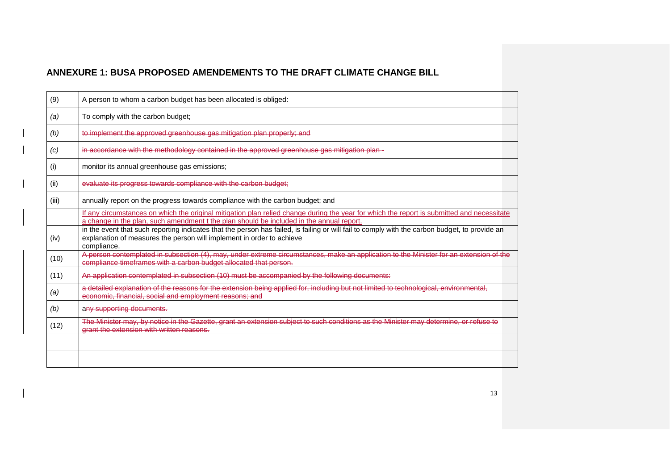| (9)   | A person to whom a carbon budget has been allocated is obliged:                                                                                                                                                                        |
|-------|----------------------------------------------------------------------------------------------------------------------------------------------------------------------------------------------------------------------------------------|
| (a)   | To comply with the carbon budget;                                                                                                                                                                                                      |
| (b)   | to implement the approved greenhouse gas mitigation plan properly; and                                                                                                                                                                 |
| (c)   | in accordance with the methodology contained in the approved greenhouse gas mitigation plan -                                                                                                                                          |
| (i)   | monitor its annual greenhouse gas emissions;                                                                                                                                                                                           |
| (ii)  | evaluate its progress towards compliance with the carbon budget;                                                                                                                                                                       |
| (iii) | annually report on the progress towards compliance with the carbon budget; and                                                                                                                                                         |
|       | If any circumstances on which the original mitigation plan relied change during the year for which the report is submitted and necessitate<br>a change in the plan, such amendment t the plan should be included in the annual report. |
| (iv)  | in the event that such reporting indicates that the person has failed, is failing or will fail to comply with the carbon budget, to provide an<br>explanation of measures the person will implement in order to achieve<br>compliance. |
| (10)  | A person contemplated in subsection (4), may, under extreme circumstances, make an application to the Minister for an extension of the<br>compliance timeframes with a carbon budget allocated that person.                            |
| (11)  | An application contemplated in subsection (10) must be accompanied by the following documents:                                                                                                                                         |
| (a)   | a detailed explanation of the reasons for the extension being applied for, including but not limited to technological, environmental,<br>economic, financial, social and employment reasons; and                                       |
| (b)   | any supporting documents.                                                                                                                                                                                                              |
| (12)  | The Minister may, by notice in the Gazette, grant an extension subject to such conditions as the Minister may determine, or refuse to<br>grant the extension with written reasons.                                                     |
|       |                                                                                                                                                                                                                                        |
|       |                                                                                                                                                                                                                                        |
|       |                                                                                                                                                                                                                                        |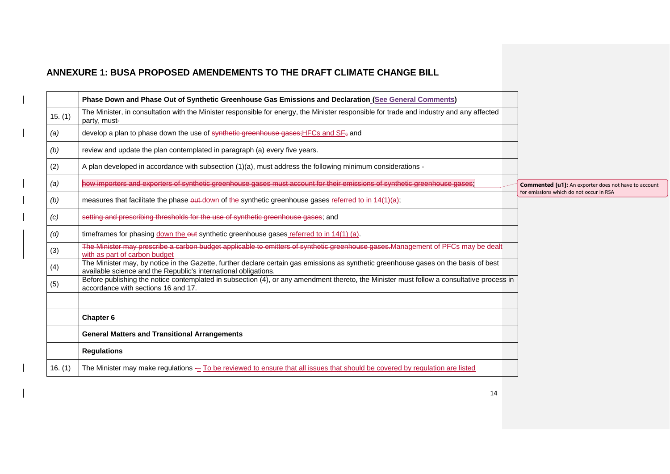|           | Phase Down and Phase Out of Synthetic Greenhouse Gas Emissions and Declaration (See General Comments)                                                                                                   |                                                             |
|-----------|---------------------------------------------------------------------------------------------------------------------------------------------------------------------------------------------------------|-------------------------------------------------------------|
| 15. (1)   | The Minister, in consultation with the Minister responsible for energy, the Minister responsible for trade and industry and any affected<br>party, must-                                                |                                                             |
| (a)       | develop a plan to phase down the use of synthetic greenhouse gases; HFCs and SF <sub>6</sub> and                                                                                                        |                                                             |
| (b)       | review and update the plan contemplated in paragraph (a) every five years.                                                                                                                              |                                                             |
| (2)       | A plan developed in accordance with subsection (1)(a), must address the following minimum considerations -                                                                                              |                                                             |
| (a)       | how importers and exporters of synthetic greenhouse gases must account for their emissions of synthetic greenhouse gases:                                                                               | <b>Commented [u1]:</b> An exporter does not have to account |
| (b)       | measures that facilitate the phase out down of the synthetic greenhouse gases referred to in 14(1)(a);                                                                                                  | for emissions which do not occur in RSA                     |
| (c)       | setting and prescribing thresholds for the use of synthetic greenhouse gases; and                                                                                                                       |                                                             |
| (d)       | timeframes for phasing down the out synthetic greenhouse gases referred to in 14(1) (a).                                                                                                                |                                                             |
| (3)       | The Minister may prescribe a carbon budget applicable to emitters of synthetic greenhouse gases Management of PFCs may be dealt<br>with as part of carbon budget                                        |                                                             |
| (4)       | The Minister may, by notice in the Gazette, further declare certain gas emissions as synthetic greenhouse gases on the basis of best<br>available science and the Republic's international obligations. |                                                             |
| (5)       | Before publishing the notice contemplated in subsection (4), or any amendment thereto, the Minister must follow a consultative process in<br>accordance with sections 16 and 17.                        |                                                             |
|           |                                                                                                                                                                                                         |                                                             |
|           | Chapter 6                                                                                                                                                                                               |                                                             |
|           | <b>General Matters and Transitional Arrangements</b>                                                                                                                                                    |                                                             |
|           | <b>Regulations</b>                                                                                                                                                                                      |                                                             |
| 16. $(1)$ | The Minister may make regulations - To be reviewed to ensure that all issues that should be covered by regulation are listed                                                                            |                                                             |
|           |                                                                                                                                                                                                         |                                                             |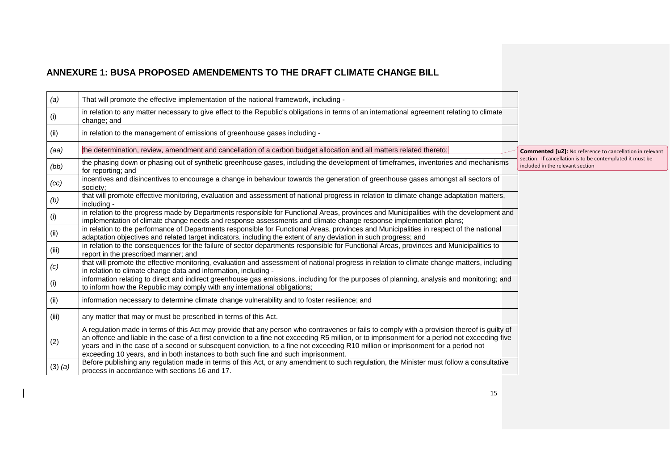| (a)         | That will promote the effective implementation of the national framework, including -                                                                                                                                                                                                                                                                                                                                                                                                                                   |                                                                                                                              |
|-------------|-------------------------------------------------------------------------------------------------------------------------------------------------------------------------------------------------------------------------------------------------------------------------------------------------------------------------------------------------------------------------------------------------------------------------------------------------------------------------------------------------------------------------|------------------------------------------------------------------------------------------------------------------------------|
| (i)         | in relation to any matter necessary to give effect to the Republic's obligations in terms of an international agreement relating to climate<br>change; and                                                                                                                                                                                                                                                                                                                                                              |                                                                                                                              |
| (ii)        | in relation to the management of emissions of greenhouse gases including -                                                                                                                                                                                                                                                                                                                                                                                                                                              |                                                                                                                              |
| (aa)        | the determination, review, amendment and cancellation of a carbon budget allocation and all matters related thereto;                                                                                                                                                                                                                                                                                                                                                                                                    | <b>Commented [u2]:</b> No reference to cancellation in relevant<br>section. If cancellation is to be contemplated it must be |
| (bb)        | the phasing down or phasing out of synthetic greenhouse gases, including the development of timeframes, inventories and mechanisms<br>for reporting; and                                                                                                                                                                                                                                                                                                                                                                | included in the relevant section                                                                                             |
| (cc)        | incentives and disincentives to encourage a change in behaviour towards the generation of greenhouse gases amongst all sectors of<br>society;                                                                                                                                                                                                                                                                                                                                                                           |                                                                                                                              |
| (b)         | that will promote effective monitoring, evaluation and assessment of national progress in relation to climate change adaptation matters,<br>including -                                                                                                                                                                                                                                                                                                                                                                 |                                                                                                                              |
| (i)         | in relation to the progress made by Departments responsible for Functional Areas, provinces and Municipalities with the development and<br>implementation of climate change needs and response assessments and climate change response implementation plans;                                                                                                                                                                                                                                                            |                                                                                                                              |
| (ii)        | in relation to the performance of Departments responsible for Functional Areas, provinces and Municipalities in respect of the national<br>adaptation objectives and related target indicators, including the extent of any deviation in such progress; and                                                                                                                                                                                                                                                             |                                                                                                                              |
| (iii)       | in relation to the consequences for the failure of sector departments responsible for Functional Areas, provinces and Municipalities to<br>report in the prescribed manner; and                                                                                                                                                                                                                                                                                                                                         |                                                                                                                              |
| (c)         | that will promote the effective monitoring, evaluation and assessment of national progress in relation to climate change matters, including<br>in relation to climate change data and information, including -                                                                                                                                                                                                                                                                                                          |                                                                                                                              |
| (i)         | information relating to direct and indirect greenhouse gas emissions, including for the purposes of planning, analysis and monitoring; and<br>to inform how the Republic may comply with any international obligations;                                                                                                                                                                                                                                                                                                 |                                                                                                                              |
| (ii)        | information necessary to determine climate change vulnerability and to foster resilience; and                                                                                                                                                                                                                                                                                                                                                                                                                           |                                                                                                                              |
| (iii)       | any matter that may or must be prescribed in terms of this Act.                                                                                                                                                                                                                                                                                                                                                                                                                                                         |                                                                                                                              |
| (2)         | A regulation made in terms of this Act may provide that any person who contravenes or fails to comply with a provision thereof is guilty of<br>an offence and liable in the case of a first conviction to a fine not exceeding R5 million, or to imprisonment for a period not exceeding five<br>years and in the case of a second or subsequent conviction, to a fine not exceeding R10 million or imprisonment for a period not<br>exceeding 10 years, and in both instances to both such fine and such imprisonment. |                                                                                                                              |
| $(3)$ $(a)$ | Before publishing any regulation made in terms of this Act, or any amendment to such regulation, the Minister must follow a consultative<br>process in accordance with sections 16 and 17.                                                                                                                                                                                                                                                                                                                              |                                                                                                                              |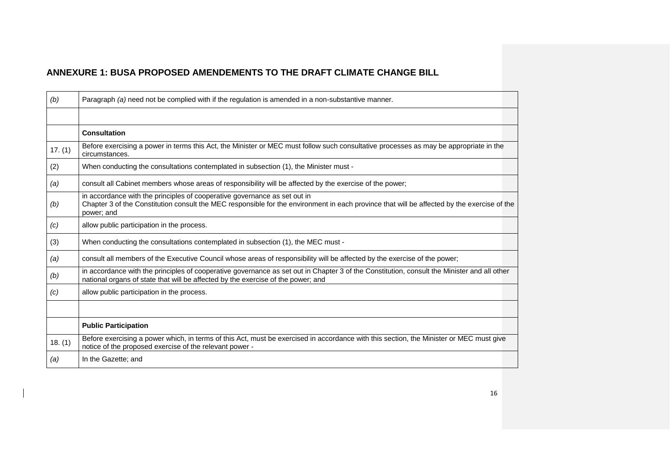| (b)     | Paragraph (a) need not be complied with if the regulation is amended in a non-substantive manner.                                                                                                                                      |
|---------|----------------------------------------------------------------------------------------------------------------------------------------------------------------------------------------------------------------------------------------|
|         |                                                                                                                                                                                                                                        |
|         | <b>Consultation</b>                                                                                                                                                                                                                    |
| 17. (1) | Before exercising a power in terms this Act, the Minister or MEC must follow such consultative processes as may be appropriate in the<br>circumstances.                                                                                |
| (2)     | When conducting the consultations contemplated in subsection (1), the Minister must -                                                                                                                                                  |
| (a)     | consult all Cabinet members whose areas of responsibility will be affected by the exercise of the power;                                                                                                                               |
| (b)     | in accordance with the principles of cooperative governance as set out in<br>Chapter 3 of the Constitution consult the MEC responsible for the environment in each province that will be affected by the exercise of the<br>power; and |
| (c)     | allow public participation in the process.                                                                                                                                                                                             |
| (3)     | When conducting the consultations contemplated in subsection (1), the MEC must -                                                                                                                                                       |
| (a)     | consult all members of the Executive Council whose areas of responsibility will be affected by the exercise of the power;                                                                                                              |
| (b)     | in accordance with the principles of cooperative governance as set out in Chapter 3 of the Constitution, consult the Minister and all other<br>national organs of state that will be affected by the exercise of the power; and        |
| (c)     | allow public participation in the process.                                                                                                                                                                                             |
|         |                                                                                                                                                                                                                                        |
|         | <b>Public Participation</b>                                                                                                                                                                                                            |
| 18. (1) | Before exercising a power which, in terms of this Act, must be exercised in accordance with this section, the Minister or MEC must give<br>notice of the proposed exercise of the relevant power -                                     |
| (a)     | In the Gazette; and                                                                                                                                                                                                                    |
|         |                                                                                                                                                                                                                                        |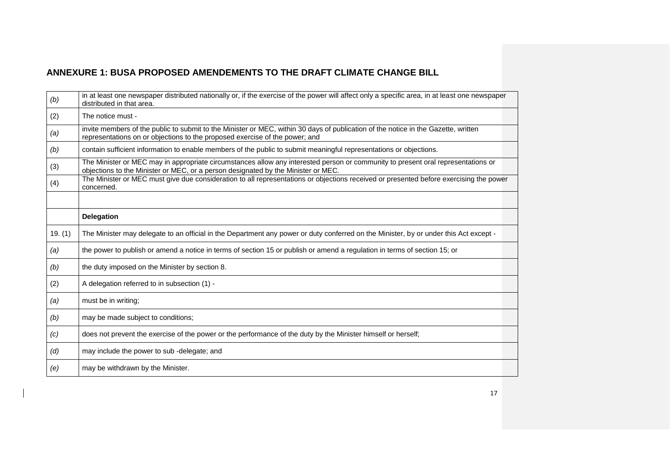| (b)     | in at least one newspaper distributed nationally or, if the exercise of the power will affect only a specific area, in at least one newspaper<br>distributed in that area.                                            |
|---------|-----------------------------------------------------------------------------------------------------------------------------------------------------------------------------------------------------------------------|
| (2)     | The notice must -                                                                                                                                                                                                     |
| (a)     | invite members of the public to submit to the Minister or MEC, within 30 days of publication of the notice in the Gazette, written<br>representations on or objections to the proposed exercise of the power; and     |
| (b)     | contain sufficient information to enable members of the public to submit meaningful representations or objections.                                                                                                    |
| (3)     | The Minister or MEC may in appropriate circumstances allow any interested person or community to present oral representations or<br>objections to the Minister or MEC, or a person designated by the Minister or MEC. |
| (4)     | The Minister or MEC must give due consideration to all representations or objections received or presented before exercising the power<br>concerned.                                                                  |
|         |                                                                                                                                                                                                                       |
|         | <b>Delegation</b>                                                                                                                                                                                                     |
| 19. (1) | The Minister may delegate to an official in the Department any power or duty conferred on the Minister, by or under this Act except -                                                                                 |
| (a)     | the power to publish or amend a notice in terms of section 15 or publish or amend a regulation in terms of section 15; or                                                                                             |
| (b)     | the duty imposed on the Minister by section 8.                                                                                                                                                                        |
| (2)     | A delegation referred to in subsection (1) -                                                                                                                                                                          |
| (a)     | must be in writing;                                                                                                                                                                                                   |
| (b)     | may be made subject to conditions;                                                                                                                                                                                    |
| (c)     | does not prevent the exercise of the power or the performance of the duty by the Minister himself or herself;                                                                                                         |
| (d)     | may include the power to sub-delegate; and                                                                                                                                                                            |
| (e)     | may be withdrawn by the Minister.                                                                                                                                                                                     |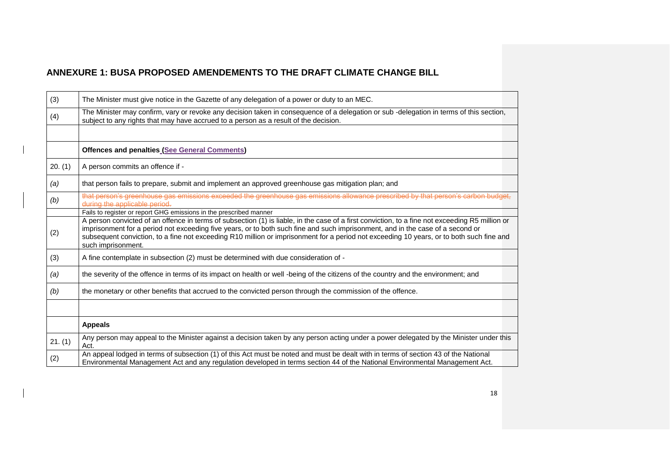| (3)     | The Minister must give notice in the Gazette of any delegation of a power or duty to an MEC.                                                                                                                                                                                                                                                                                                                                                        |
|---------|-----------------------------------------------------------------------------------------------------------------------------------------------------------------------------------------------------------------------------------------------------------------------------------------------------------------------------------------------------------------------------------------------------------------------------------------------------|
| (4)     | The Minister may confirm, vary or revoke any decision taken in consequence of a delegation or sub -delegation in terms of this section,<br>subject to any rights that may have accrued to a person as a result of the decision.                                                                                                                                                                                                                     |
|         |                                                                                                                                                                                                                                                                                                                                                                                                                                                     |
|         | <b>Offences and penalties (See General Comments)</b>                                                                                                                                                                                                                                                                                                                                                                                                |
| 20. (1) | A person commits an offence if -                                                                                                                                                                                                                                                                                                                                                                                                                    |
| (a)     | that person fails to prepare, submit and implement an approved greenhouse gas mitigation plan; and                                                                                                                                                                                                                                                                                                                                                  |
| (b)     | that person's greenhouse gas emissions exceeded the greenhouse gas emissions allowance prescribed by that person's carbon budget,<br>during the applicable period.                                                                                                                                                                                                                                                                                  |
|         | Fails to register or report GHG emissions in the prescribed manner                                                                                                                                                                                                                                                                                                                                                                                  |
| (2)     | A person convicted of an offence in terms of subsection (1) is liable, in the case of a first conviction, to a fine not exceeding R5 million or<br>imprisonment for a period not exceeding five years, or to both such fine and such imprisonment, and in the case of a second or<br>subsequent conviction, to a fine not exceeding R10 million or imprisonment for a period not exceeding 10 years, or to both such fine and<br>such imprisonment. |
| (3)     | A fine contemplate in subsection (2) must be determined with due consideration of -                                                                                                                                                                                                                                                                                                                                                                 |
| (a)     | the severity of the offence in terms of its impact on health or well -being of the citizens of the country and the environment; and                                                                                                                                                                                                                                                                                                                 |
| (b)     | the monetary or other benefits that accrued to the convicted person through the commission of the offence.                                                                                                                                                                                                                                                                                                                                          |
|         |                                                                                                                                                                                                                                                                                                                                                                                                                                                     |
|         | <b>Appeals</b>                                                                                                                                                                                                                                                                                                                                                                                                                                      |
| 21. (1) | Any person may appeal to the Minister against a decision taken by any person acting under a power delegated by the Minister under this<br>Act.                                                                                                                                                                                                                                                                                                      |
| (2)     | An appeal lodged in terms of subsection (1) of this Act must be noted and must be dealt with in terms of section 43 of the National<br>Environmental Management Act and any regulation developed in terms section 44 of the National Environmental Management Act.                                                                                                                                                                                  |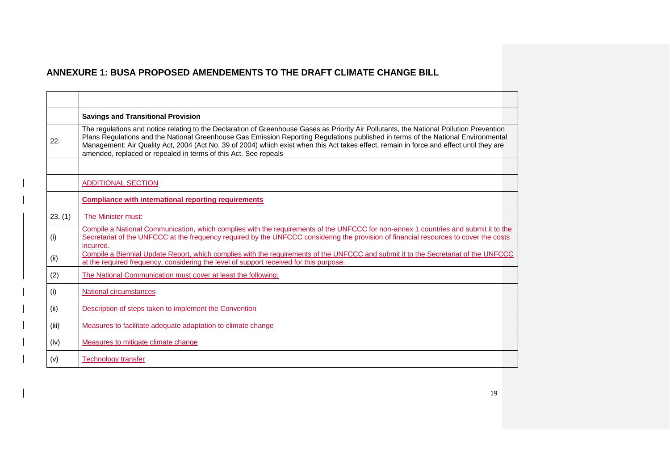|         | <b>Savings and Transitional Provision</b>                                                                                                                                                                                                                                                                                                                                                                                                                                                    |
|---------|----------------------------------------------------------------------------------------------------------------------------------------------------------------------------------------------------------------------------------------------------------------------------------------------------------------------------------------------------------------------------------------------------------------------------------------------------------------------------------------------|
| 22.     | The regulations and notice relating to the Declaration of Greenhouse Gases as Priority Air Pollutants, the National Pollution Prevention<br>Plans Regulations and the National Greenhouse Gas Emission Reporting Regulations published in terms of the National Environmental<br>Management: Air Quality Act, 2004 (Act No. 39 of 2004) which exist when this Act takes effect, remain in force and effect until they are<br>amended, replaced or repealed in terms of this Act. See repeals |
|         |                                                                                                                                                                                                                                                                                                                                                                                                                                                                                              |
|         | <b>ADDITIONAL SECTION</b>                                                                                                                                                                                                                                                                                                                                                                                                                                                                    |
|         | <b>Compliance with international reporting requirements</b>                                                                                                                                                                                                                                                                                                                                                                                                                                  |
| 23. (1) | The Minister must:                                                                                                                                                                                                                                                                                                                                                                                                                                                                           |
| (i)     | Compile a National Communication, which complies with the requirements of the UNFCCC for non-annex 1 countries and submit it to the<br>Secretariat of the UNFCCC at the frequency required by the UNFCCC considering the provision of financial resources to cover the costs<br>incurred.                                                                                                                                                                                                    |
| (ii)    | Compile a Biennial Update Report, which complies with the requirements of the UNFCCC and submit it to the Secretariat of the UNFCCC<br>at the required frequency, considering the level of support received for this purpose.                                                                                                                                                                                                                                                                |
| (2)     | The National Communication must cover at least the following:                                                                                                                                                                                                                                                                                                                                                                                                                                |
| (i)     | National circumstances                                                                                                                                                                                                                                                                                                                                                                                                                                                                       |
| (ii)    | Description of steps taken to implement the Convention                                                                                                                                                                                                                                                                                                                                                                                                                                       |
| (iii)   | Measures to facilitate adequate adaptation to climate change                                                                                                                                                                                                                                                                                                                                                                                                                                 |
| (iv)    | Measures to mitigate climate change                                                                                                                                                                                                                                                                                                                                                                                                                                                          |
| (v)     | <b>Technology transfer</b>                                                                                                                                                                                                                                                                                                                                                                                                                                                                   |